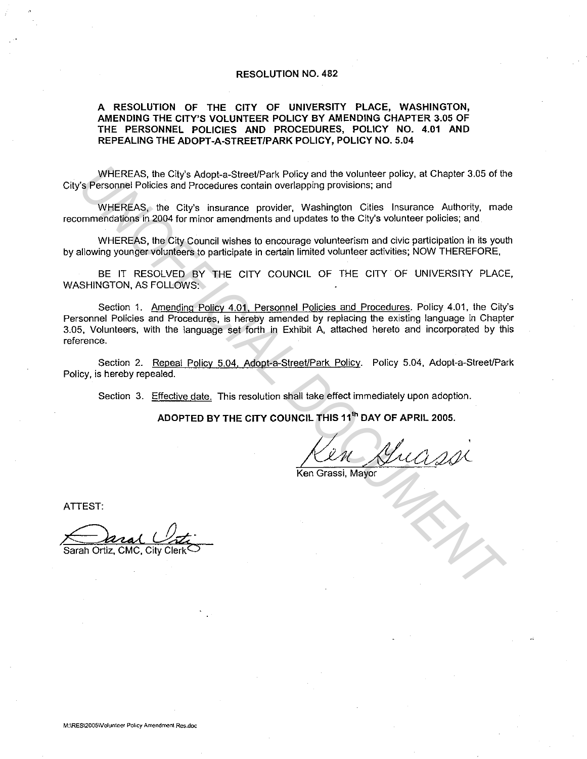### **RESOLUTION NO. 482**

## **A RESOLUTION OF THE CITY OF UNIVERSITY PLACE, WASHINGTON, AMENDING THE CITY'S VOLUNTEER POLICY BY AMENDING CHAPTER 3.05 OF THE PERSONNEL POLICIES AND PROCEDURES, POLICY NO. 4.01 AND REPEALING THE ADOPT-A-STREET/PARK POLICY, POLICY NO. 5.04**

WHEREAS, the Cily's Adopt-a-Street/Park Policy and the volunteer policy. at Chapter 3.05 of the City's Personnel Policies and Procedures contain overlapping provisions; and

WHEREAS, the City's insurance provider, Washington Cities Insurance Authority, made recommendations in 2004 for minor amendments and updates to the City's volunteer policies; and

WHEREAS, the City Council wishes to encourage volunteerism and civic participation in its youth by allowing younger volunteers to participate in certain limited volunteer activities; NOW THEREFORE.

BE IT RESOLVED BY THE CITY COUNCIL OF THE CITY OF UNIVERSITY PLACE, WASHINGTON, AS FOLLOWS:

Section 1. Amending Policy 4.01, Personnel Policies and Procedures. Policy 4.01, the City's Personnel Policies and Procedures, is hereby amended by replacing the existing language in Chapter 3.05, Volunteers, with the language set forth in Exhibit A, attached hereto and incorporated by this reference. WHEREAS, the City's Adopt-a-Street/Park Policy and the volunteer policy, at Chapter 3.05 of the proportion of Procedures contain overlapping provisions, and Procedures contain overlapping provisions, and where Policy, the

Section 2. Repeal Policy 5.04, Adopt-a-Street/Park Policy. Policy 5.04, Adopt-a-Street/Park Policy, is hereby repealed.

Section 3. Effective date. This resolution shall take effect immediately upon adoption.

**ADOPTED BY THE CITY COUNCIL THIS 11<sup>1</sup> " DAY OF APRIL 2005.** 

Kin King

ATTEST:

Sarah Ortiz, CMC, City Clerk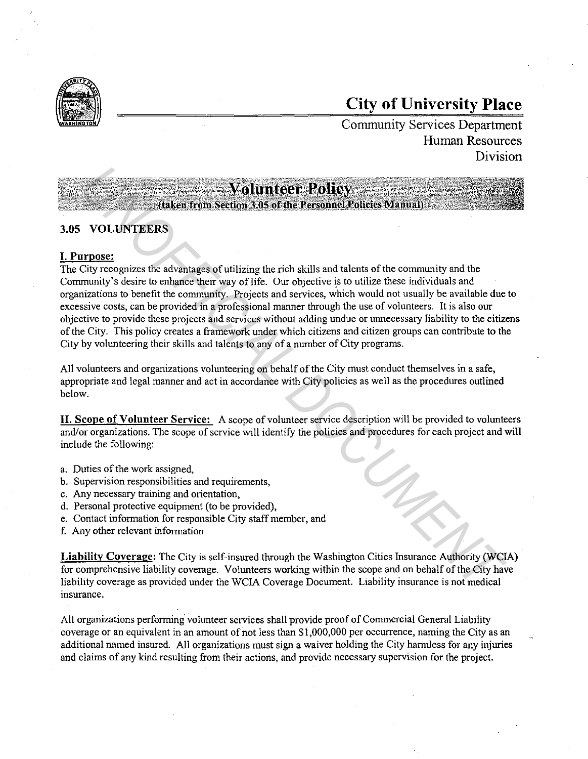

# **City of University Place**

Community Services Department Human Resources Division

# 3.05 VOLUNTEERS

# I. Purpose:

The City recognizes the advantages of utilizing the.rich skills and talents of the community and the Community's desire to enhance their way of life. Our objective is to utilize these individuals and organizations to benefit the community. Projects and services, which would not usually be available due to excessive costs, can be provided in a professional manner through the use of volunteers. It is also our objective to provide these projects and services without adding undue or unnecessary liability to the citizens of the City. This policy creates a framework under which citizens and citizen groups can contribute to the City by volunteering their skills and talents to any of a number of City programs. **VOLUMEERS**<br> **VOLUMERERS**<br> **VOLUMERERS**<br> **VOLUMERERS**<br> **UNITEENT**<br> **UNITE CONSTANT CONSTANT CONSTANT CONSTANT CONSTANT CONSTANT CONSTANT CONSTANT CONSTANT CONSTANT CONSTANT CONSTANT CONSTANT CONSTANT CONSTANT CONSTANT CONS** 

All volunteers and organizations volunteering on behalf of the City must conduct themselves in a safe, appropriate and legal manner and act in accordance with City policies as well as the procedures outlined below.

**II.** Scope of Volunteer Service: A scope of volunteer service description will be provided to volunteers and/or organizations. The scope of service will identify the policies and procedures for each project and will include the following:

- a. Duties of the work assigned,
- b. Supervision responsibilities and requirements,
- c. Any necessary training and orientation,
- d. Personal protective equipment (to be provided),
- e. Contact information for responsible City staff member, and
- f. Any other relevant information

**Liability** Coverage: The City is self-insured through the Washington Cities Insurance Authority (WCIA) for comprehensive liability coverage. Volunteers working within the scope and on behalf of the City have liability coverage as provided under the WCIA Coverage Document. Liability insurance is not medical **insurance.** 

All organizations performing. volunteer services shall provide proof of Commercial General Liability coverage or an equivalent in an amount of not less than \$1,000,000 per occurrence, naming the City as an additional named insured. All organizations must sign a waiver holding the City harmless for any injuries and claims of any kind resulting from their actions, and provide necessary supervision for the project.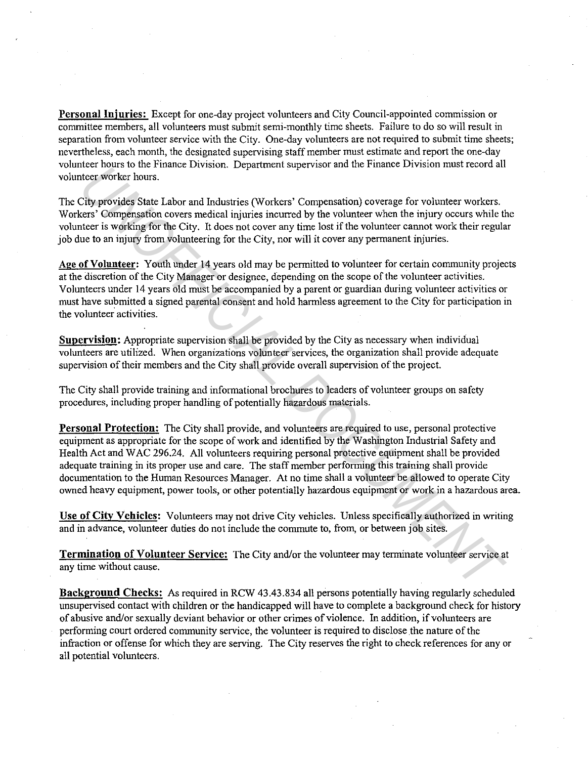Personal Injuries: Except for one-day project volunteers and City Council-appointed commission or committee members, all volunteers must submit semi-monthly time sheets. Failure to do so will result in separation from volunteer service with the City. One-day volunteers are not required to submit time sheets; nevertheless, each month, the designated supervising staff member must estimate and report the one-day volunteer hours to the Finance Division. Department supervisor and the Finance Division must record all volunteer worker hours.

The City provides State Labor and Industries (Workers' Compensation) coverage for volunteer workers. Workers' Compensation covers medical injuries incurred by the volunteer when the injury occurs while the volunteer is working for the City. It does not cover any time lost if the volunteer cannot work their regular job due to an injury from volunteering for the City, nor will it cover any permanent injuries.

Age **of Volunteer:** Youth under 14 years old may be permitted to volunteer for certain community projects at the discretion of the City Manager or designee, depending on the scope of the volunteer activities. Volunteers under 14 years old must be accompanied by a parent or guardian during volunteer activities or must have submitted a signed parental consent and hold harmless agreement to the City for participation in the volunteer activities.

**Supervision:** Appropriate supervision shall be provided by the City as necessary when individual volunteers are utilized. When organizations volunteer services, the organization shall provide adequate supervision of their members and the City shall provide overall supervision of the project.

The City shall provide training and informational brochures to leaders of volunteer groups on safety procedures, including proper handling of potentially hazardous materials.

**Personal Protection:** The City shall provide, and volunteers are required to use, personal protective equipment as appropriate for the scope of work and identified by the Washington Industrial Safety and Health Act and WAC 296.24. All volunteers requiring personal protective equipment shall be provided adequate training in its proper use and care. The staff member performing this training shall provide documentation to the Human Resources Manager. At no time shall a volunteer be allowed to operate City owned heavy equipment, power tools, or other potentially hazardous equipment or work in a hazardous area. *UNE provides* State Labor and molutions. Copartment sopery solve the molute resolved molecular the resolved of the competer and influence of Competer Competer Competer Schemes the City provides State Labor and Industries

**Use of City Vehicles:** Volunteers may not drive City vehicles. Unless specifically authorized in writing and in advance, volunteer duties do not include the commute to, from, or between job sites.

**Termination of Volunteer Service:** The City and/or the volunteer may terminate volunteer service at any time without cause.

**Background Checks:** As required in RCW 43.43.834 all persons potentially having regularly scheduled unsupervised contact with children or the handicapped will have to complete a background check for history of abusive and/or sexually deviant behavior or other crimes of violence. In addition, if volunteers are performing court ordered community service, the volunteer is required to disclose the nature of the infraction or offense for which they are serving. The City reserves the right to check references for any or all potential volunteers.